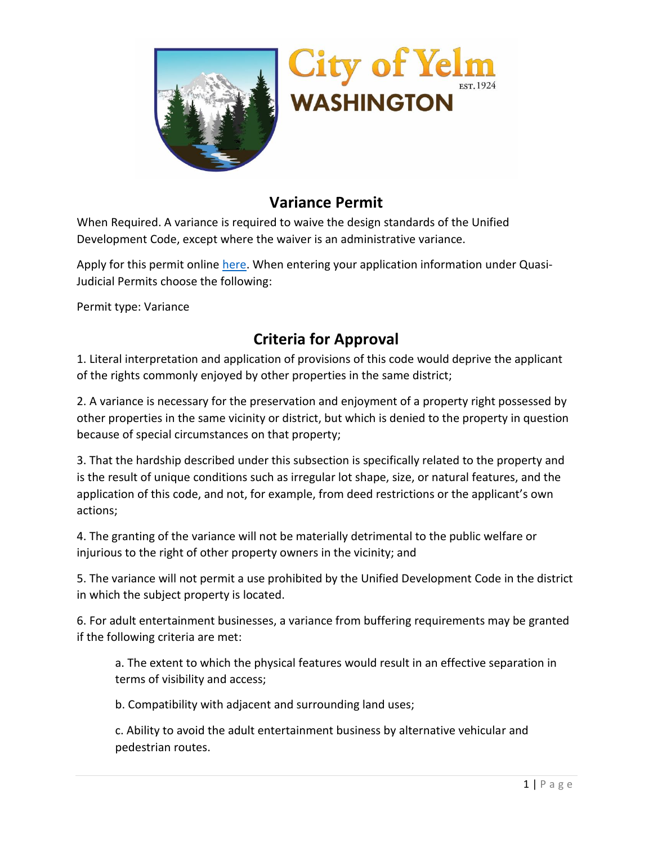



## **Variance Permit**

When Required. A variance is required to waive the design standards of the Unified Development Code, except where the waiver is an administrative variance.

Apply for this permit online [here.](https://lf.yelmwa.gov/forms/spr) When entering your application information under Quasi-Judicial Permits choose the following:

Permit type: Variance

## **Criteria for Approval**

1. Literal interpretation and application of provisions of this code would deprive the applicant of the rights commonly enjoyed by other properties in the same district;

2. A variance is necessary for the preservation and enjoyment of a property right possessed by other properties in the same vicinity or district, but which is denied to the property in question because of special circumstances on that property;

3. That the hardship described under this subsection is specifically related to the property and is the result of unique conditions such as irregular lot shape, size, or natural features, and the application of this code, and not, for example, from deed restrictions or the applicant's own actions;

4. The granting of the variance will not be materially detrimental to the public welfare or injurious to the right of other property owners in the vicinity; and

5. The variance will not permit a use prohibited by the Unified Development Code in the district in which the subject property is located.

6. For adult entertainment businesses, a variance from buffering requirements may be granted if the following criteria are met:

a. The extent to which the physical features would result in an effective separation in terms of visibility and access;

b. Compatibility with adjacent and surrounding land uses;

c. Ability to avoid the adult entertainment business by alternative vehicular and pedestrian routes.